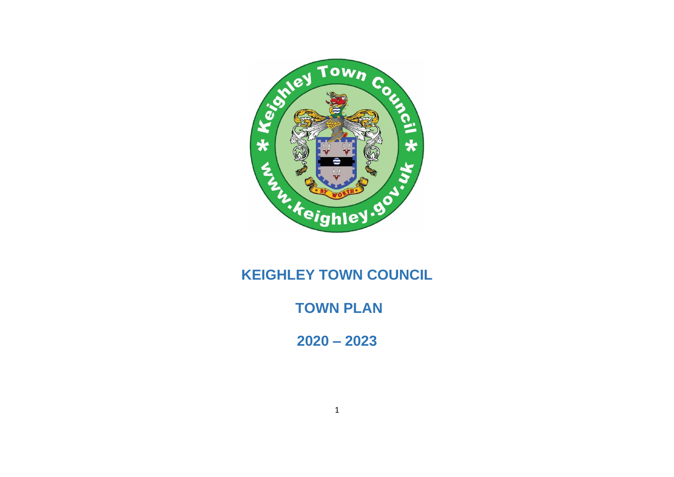

# **KEIGHLEY TOWN COUNCIL**

**TOWN PLAN**

**2020 – 2023**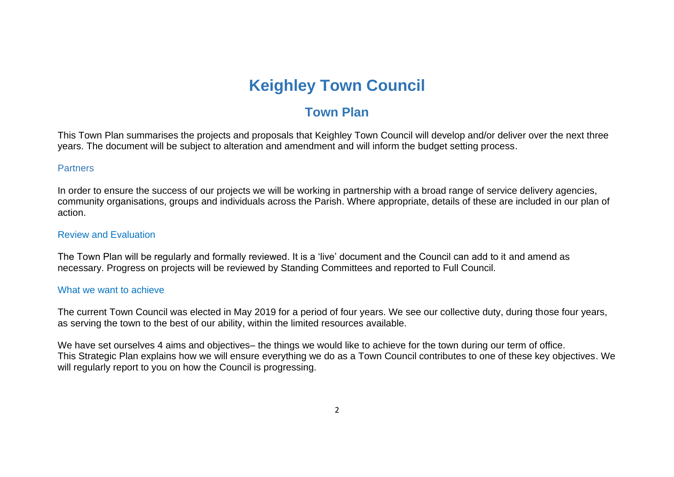# **Keighley Town Council**

## **Town Plan**

This Town Plan summarises the projects and proposals that Keighley Town Council will develop and/or deliver over the next three years. The document will be subject to alteration and amendment and will inform the budget setting process.

### **Partners**

In order to ensure the success of our projects we will be working in partnership with a broad range of service delivery agencies, community organisations, groups and individuals across the Parish. Where appropriate, details of these are included in our plan of action.

#### Review and Evaluation

The Town Plan will be regularly and formally reviewed. It is a 'live' document and the Council can add to it and amend as necessary. Progress on projects will be reviewed by Standing Committees and reported to Full Council.

#### What we want to achieve

The current Town Council was elected in May 2019 for a period of four years. We see our collective duty, during those four years, as serving the town to the best of our ability, within the limited resources available.

We have set ourselves 4 aims and objectives– the things we would like to achieve for the town during our term of office. This Strategic Plan explains how we will ensure everything we do as a Town Council contributes to one of these key objectives. We will regularly report to you on how the Council is progressing.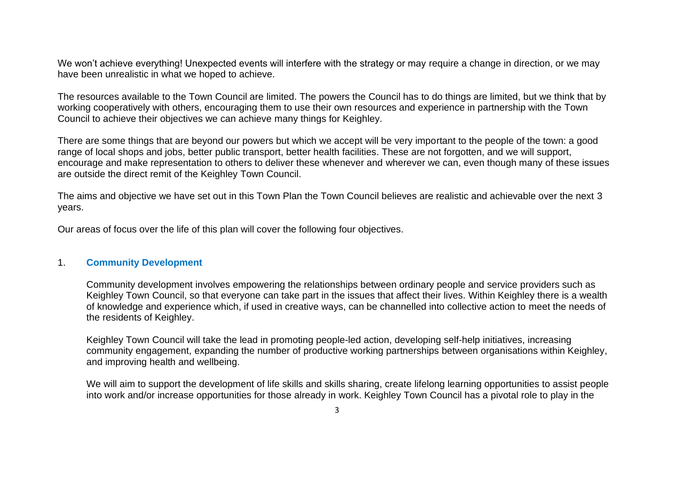We won't achieve everything! Unexpected events will interfere with the strategy or may require a change in direction, or we may have been unrealistic in what we hoped to achieve.

The resources available to the Town Council are limited. The powers the Council has to do things are limited, but we think that by working cooperatively with others, encouraging them to use their own resources and experience in partnership with the Town Council to achieve their objectives we can achieve many things for Keighley.

There are some things that are beyond our powers but which we accept will be very important to the people of the town: a good range of local shops and jobs, better public transport, better health facilities. These are not forgotten, and we will support, encourage and make representation to others to deliver these whenever and wherever we can, even though many of these issues are outside the direct remit of the Keighley Town Council.

The aims and objective we have set out in this Town Plan the Town Council believes are realistic and achievable over the next 3 years.

Our areas of focus over the life of this plan will cover the following four objectives.

#### 1. **Community Development**

Community development involves empowering the relationships between ordinary people and service providers such as Keighley Town Council, so that everyone can take part in the issues that affect their lives. Within Keighley there is a wealth of knowledge and experience which, if used in creative ways, can be channelled into collective action to meet the needs of the residents of Keighley.

Keighley Town Council will take the lead in promoting people-led action, developing self-help initiatives, increasing community engagement, expanding the number of productive working partnerships between organisations within Keighley, and improving health and wellbeing.

We will aim to support the development of life skills and skills sharing, create lifelong learning opportunities to assist people into work and/or increase opportunities for those already in work. Keighley Town Council has a pivotal role to play in the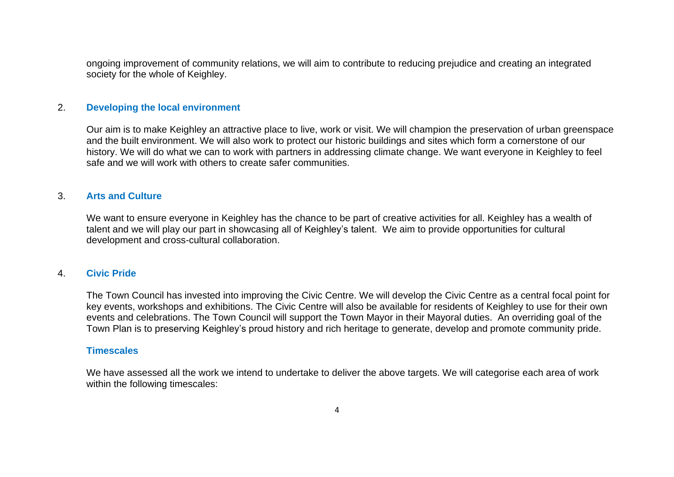ongoing improvement of community relations, we will aim to contribute to reducing prejudice and creating an integrated society for the whole of Keighley.

#### 2. **Developing the local environment**

Our aim is to make Keighley an attractive place to live, work or visit. We will champion the preservation of urban greenspace and the built environment. We will also work to protect our historic buildings and sites which form a cornerstone of our history. We will do what we can to work with partners in addressing climate change. We want everyone in Keighley to feel safe and we will work with others to create safer communities.

#### 3. **Arts and Culture**

We want to ensure everyone in Keighley has the chance to be part of creative activities for all. Keighley has a wealth of talent and we will play our part in showcasing all of Keighley's talent. We aim to provide opportunities for cultural development and cross-cultural collaboration.

#### 4. **Civic Pride**

The Town Council has invested into improving the Civic Centre. We will develop the Civic Centre as a central focal point for key events, workshops and exhibitions. The Civic Centre will also be available for residents of Keighley to use for their own events and celebrations. The Town Council will support the Town Mayor in their Mayoral duties. An overriding goal of the Town Plan is to preserving Keighley's proud history and rich heritage to generate, develop and promote community pride.

#### **Timescales**

We have assessed all the work we intend to undertake to deliver the above targets. We will categorise each area of work within the following timescales: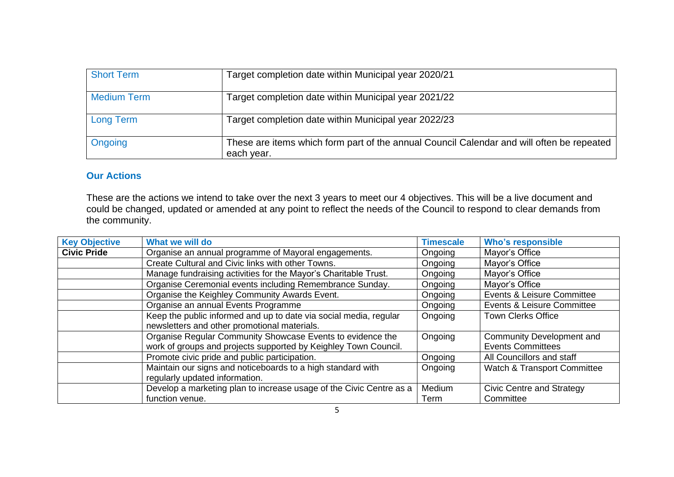| <b>Short Term</b>  | Target completion date within Municipal year 2020/21                                                    |
|--------------------|---------------------------------------------------------------------------------------------------------|
| <b>Medium Term</b> | Target completion date within Municipal year 2021/22                                                    |
| <b>Long Term</b>   | Target completion date within Municipal year 2022/23                                                    |
| Ongoing            | These are items which form part of the annual Council Calendar and will often be repeated<br>each year. |

### **Our Actions**

These are the actions we intend to take over the next 3 years to meet our 4 objectives. This will be a live document and could be changed, updated or amended at any point to reflect the needs of the Council to respond to clear demands from the community.

| <b>Key Objective</b> | What we will do                                                     | <b>Timescale</b> | <b>Who's responsible</b>    |
|----------------------|---------------------------------------------------------------------|------------------|-----------------------------|
| <b>Civic Pride</b>   | Organise an annual programme of Mayoral engagements.                | Ongoing          | Mayor's Office              |
|                      | Create Cultural and Civic links with other Towns.                   | Ongoing          | Mayor's Office              |
|                      | Manage fundraising activities for the Mayor's Charitable Trust.     | Ongoing          | Mayor's Office              |
|                      | Organise Ceremonial events including Remembrance Sunday.            | Ongoing          | Mayor's Office              |
|                      | Organise the Keighley Community Awards Event.                       | Ongoing          | Events & Leisure Committee  |
|                      | Organise an annual Events Programme                                 | Ongoing          | Events & Leisure Committee  |
|                      | Keep the public informed and up to date via social media, regular   | Ongoing          | <b>Town Clerks Office</b>   |
|                      | newsletters and other promotional materials.                        |                  |                             |
|                      | Organise Regular Community Showcase Events to evidence the          | Ongoing          | Community Development and   |
|                      | work of groups and projects supported by Keighley Town Council.     |                  | <b>Events Committees</b>    |
|                      | Promote civic pride and public participation.                       | Ongoing          | All Councillors and staff   |
|                      | Maintain our signs and noticeboards to a high standard with         | Ongoing          | Watch & Transport Committee |
|                      | regularly updated information.                                      |                  |                             |
|                      | Develop a marketing plan to increase usage of the Civic Centre as a | Medium           | Civic Centre and Strategy   |
|                      | function venue.                                                     | Term             | Committee                   |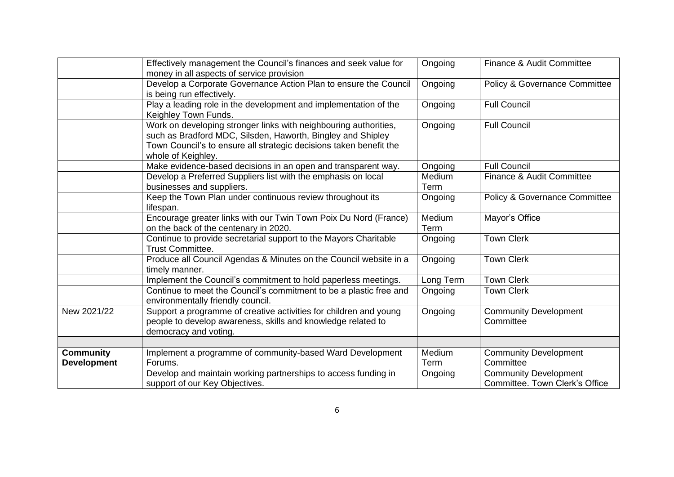|                                        | Effectively management the Council's finances and seek value for<br>money in all aspects of service provision                                                                                                               | Ongoing        | Finance & Audit Committee                                             |
|----------------------------------------|-----------------------------------------------------------------------------------------------------------------------------------------------------------------------------------------------------------------------------|----------------|-----------------------------------------------------------------------|
|                                        | Develop a Corporate Governance Action Plan to ensure the Council<br>is being run effectively.                                                                                                                               | Ongoing        | Policy & Governance Committee                                         |
|                                        | Play a leading role in the development and implementation of the<br>Keighley Town Funds.                                                                                                                                    | Ongoing        | <b>Full Council</b>                                                   |
|                                        | Work on developing stronger links with neighbouring authorities,<br>such as Bradford MDC, Silsden, Haworth, Bingley and Shipley<br>Town Council's to ensure all strategic decisions taken benefit the<br>whole of Keighley. | Ongoing        | <b>Full Council</b>                                                   |
|                                        | Make evidence-based decisions in an open and transparent way.                                                                                                                                                               | Ongoing        | <b>Full Council</b>                                                   |
|                                        | Develop a Preferred Suppliers list with the emphasis on local<br>businesses and suppliers.                                                                                                                                  | Medium<br>Term | Finance & Audit Committee                                             |
|                                        | Keep the Town Plan under continuous review throughout its<br>lifespan.                                                                                                                                                      | Ongoing        | <b>Policy &amp; Governance Committee</b>                              |
|                                        | Encourage greater links with our Twin Town Poix Du Nord (France)<br>on the back of the centenary in 2020.                                                                                                                   | Medium<br>Term | Mayor's Office                                                        |
|                                        | Continue to provide secretarial support to the Mayors Charitable<br><b>Trust Committee.</b>                                                                                                                                 | Ongoing        | <b>Town Clerk</b>                                                     |
|                                        | Produce all Council Agendas & Minutes on the Council website in a<br>timely manner.                                                                                                                                         | Ongoing        | <b>Town Clerk</b>                                                     |
|                                        | Implement the Council's commitment to hold paperless meetings.                                                                                                                                                              | Long Term      | <b>Town Clerk</b>                                                     |
|                                        | Continue to meet the Council's commitment to be a plastic free and<br>environmentally friendly council.                                                                                                                     | Ongoing        | <b>Town Clerk</b>                                                     |
| New 2021/22                            | Support a programme of creative activities for children and young<br>people to develop awareness, skills and knowledge related to<br>democracy and voting.                                                                  | Ongoing        | <b>Community Development</b><br>Committee                             |
|                                        |                                                                                                                                                                                                                             |                |                                                                       |
| <b>Community</b><br><b>Development</b> | Implement a programme of community-based Ward Development<br>Forums.                                                                                                                                                        | Medium<br>Term | <b>Community Development</b><br>Committee                             |
|                                        | Develop and maintain working partnerships to access funding in<br>support of our Key Objectives.                                                                                                                            | Ongoing        | <b>Community Development</b><br><b>Committee. Town Clerk's Office</b> |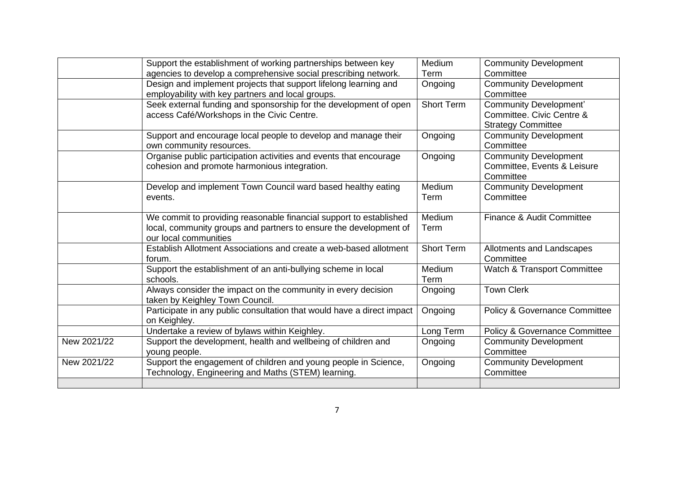|             | Support the establishment of working partnerships between key          | Medium            | <b>Community Development</b>  |
|-------------|------------------------------------------------------------------------|-------------------|-------------------------------|
|             | agencies to develop a comprehensive social prescribing network.        | Term              | Committee                     |
|             |                                                                        |                   |                               |
|             | Design and implement projects that support lifelong learning and       | Ongoing           | <b>Community Development</b>  |
|             | employability with key partners and local groups.                      |                   | Committee                     |
|             | Seek external funding and sponsorship for the development of open      | <b>Short Term</b> | <b>Community Development'</b> |
|             | access Café/Workshops in the Civic Centre.                             |                   | Committee. Civic Centre &     |
|             |                                                                        |                   | <b>Strategy Committee</b>     |
|             | Support and encourage local people to develop and manage their         | Ongoing           | <b>Community Development</b>  |
|             | own community resources.                                               |                   | Committee                     |
|             | Organise public participation activities and events that encourage     | Ongoing           | <b>Community Development</b>  |
|             | cohesion and promote harmonious integration.                           |                   | Committee, Events & Leisure   |
|             |                                                                        |                   | Committee                     |
|             |                                                                        |                   |                               |
|             | Develop and implement Town Council ward based healthy eating           | Medium            | <b>Community Development</b>  |
|             | events.                                                                | Term              | Committee                     |
|             |                                                                        |                   |                               |
|             | We commit to providing reasonable financial support to established     | Medium            | Finance & Audit Committee     |
|             | local, community groups and partners to ensure the development of      | Term              |                               |
|             | our local communities                                                  |                   |                               |
|             | Establish Allotment Associations and create a web-based allotment      | <b>Short Term</b> | Allotments and Landscapes     |
|             | forum.                                                                 |                   | Committee                     |
|             | Support the establishment of an anti-bullying scheme in local          | Medium            | Watch & Transport Committee   |
|             | schools.                                                               | Term              |                               |
|             |                                                                        |                   | <b>Town Clerk</b>             |
|             | Always consider the impact on the community in every decision          | Ongoing           |                               |
|             | taken by Keighley Town Council.                                        |                   |                               |
|             | Participate in any public consultation that would have a direct impact | Ongoing           | Policy & Governance Committee |
|             | on Keighley.                                                           |                   |                               |
|             | Undertake a review of bylaws within Keighley.                          | Long Term         | Policy & Governance Committee |
| New 2021/22 | Support the development, health and wellbeing of children and          | Ongoing           | <b>Community Development</b>  |
|             | young people.                                                          |                   | Committee                     |
| New 2021/22 | Support the engagement of children and young people in Science,        | Ongoing           | <b>Community Development</b>  |
|             | Technology, Engineering and Maths (STEM) learning.                     |                   | Committee                     |
|             |                                                                        |                   |                               |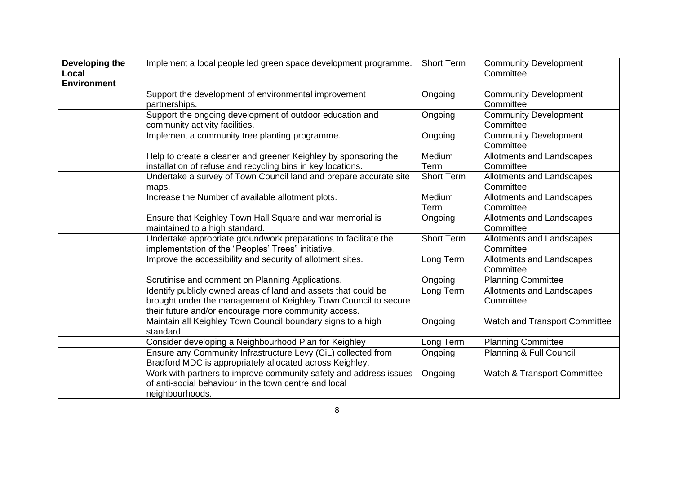| Developing the<br>Local<br><b>Environment</b> | Implement a local people led green space development programme.                                                                                                                           | <b>Short Term</b> | <b>Community Development</b><br>Committee |
|-----------------------------------------------|-------------------------------------------------------------------------------------------------------------------------------------------------------------------------------------------|-------------------|-------------------------------------------|
|                                               | Support the development of environmental improvement<br>partnerships.                                                                                                                     | Ongoing           | <b>Community Development</b><br>Committee |
|                                               | Support the ongoing development of outdoor education and<br>community activity facilities.                                                                                                | Ongoing           | <b>Community Development</b><br>Committee |
|                                               | Implement a community tree planting programme.                                                                                                                                            | Ongoing           | <b>Community Development</b><br>Committee |
|                                               | Help to create a cleaner and greener Keighley by sponsoring the<br>installation of refuse and recycling bins in key locations.                                                            | Medium<br>Term    | Allotments and Landscapes<br>Committee    |
|                                               | Undertake a survey of Town Council land and prepare accurate site<br>maps.                                                                                                                | <b>Short Term</b> | Allotments and Landscapes<br>Committee    |
|                                               | Increase the Number of available allotment plots.                                                                                                                                         | Medium<br>Term    | Allotments and Landscapes<br>Committee    |
|                                               | Ensure that Keighley Town Hall Square and war memorial is<br>maintained to a high standard.                                                                                               | Ongoing           | Allotments and Landscapes<br>Committee    |
|                                               | Undertake appropriate groundwork preparations to facilitate the<br>implementation of the "Peoples' Trees" initiative.                                                                     | <b>Short Term</b> | Allotments and Landscapes<br>Committee    |
|                                               | Improve the accessibility and security of allotment sites.                                                                                                                                | Long Term         | Allotments and Landscapes<br>Committee    |
|                                               | Scrutinise and comment on Planning Applications.                                                                                                                                          | Ongoing           | <b>Planning Committee</b>                 |
|                                               | Identify publicly owned areas of land and assets that could be<br>brought under the management of Keighley Town Council to secure<br>their future and/or encourage more community access. | Long Term         | Allotments and Landscapes<br>Committee    |
|                                               | Maintain all Keighley Town Council boundary signs to a high<br>standard                                                                                                                   | Ongoing           | Watch and Transport Committee             |
|                                               | Consider developing a Neighbourhood Plan for Keighley                                                                                                                                     | Long Term         | <b>Planning Committee</b>                 |
|                                               | Ensure any Community Infrastructure Levy (CiL) collected from<br>Bradford MDC is appropriately allocated across Keighley.                                                                 | Ongoing           | Planning & Full Council                   |
|                                               | Work with partners to improve community safety and address issues<br>of anti-social behaviour in the town centre and local<br>neighbourhoods.                                             | Ongoing           | <b>Watch &amp; Transport Committee</b>    |